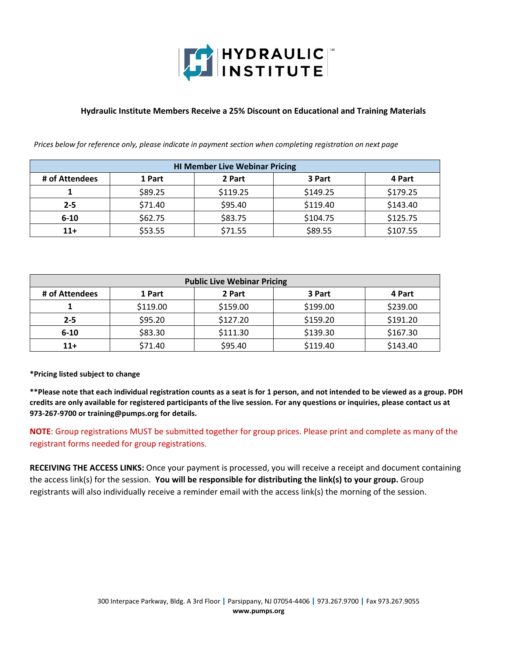

#### **Hydraulic Institute Members Receive a 25% Discount on Educational and Training Materials**

*Prices below for reference only, please indicate in payment section when completing registration on next page*

| <b>HI Member Live Webinar Pricing</b> |         |          |          |          |
|---------------------------------------|---------|----------|----------|----------|
| # of Attendees                        | 1 Part  | 2 Part   | 3 Part   | 4 Part   |
|                                       | \$89.25 | \$119.25 | \$149.25 | \$179.25 |
| $2 - 5$                               | \$71.40 | \$95.40  | \$119.40 | \$143.40 |
| $6 - 10$                              | \$62.75 | \$83.75  | \$104.75 | \$125.75 |
| $11+$                                 | \$53.55 | \$71.55  | \$89.55  | \$107.55 |

| <b>Public Live Webinar Pricing</b> |          |          |          |          |
|------------------------------------|----------|----------|----------|----------|
| # of Attendees                     | 1 Part   | 2 Part   | 3 Part   | 4 Part   |
|                                    | \$119.00 | \$159.00 | \$199.00 | \$239.00 |
| $2 - 5$                            | \$95.20  | \$127.20 | \$159.20 | \$191.20 |
| $6 - 10$                           | \$83.30  | \$111.30 | \$139.30 | \$167.30 |
| $11+$                              | \$71.40  | \$95.40  | \$119.40 | \$143.40 |

**\*Pricing listed subject to change**

**\*\*Please note that each individual registration counts as a seat is for 1 person, and not intended to be viewed as a group. PDH credits are only available for registered participants of the live session. For any questions or inquiries, please contact us at 973-267-9700 or training@pumps.org for details.**

**NOTE**: Group registrations MUST be submitted together for group prices. Please print and complete as many of the registrant forms needed for group registrations.

**RECEIVING THE ACCESS LINKS:** Once your payment is processed, you will receive a receipt and document containing the access link(s) for the session. **You will be responsible for distributing the link(s) to your group.** Group registrants will also individually receive a reminder email with the access link(s) the morning of the session.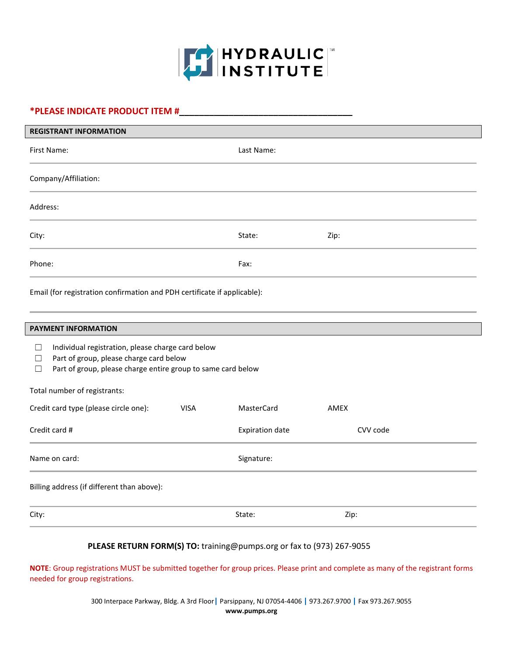

# **\*PLEASE INDICATE PRODUCT ITEM #\_\_\_\_\_\_\_\_\_\_\_\_\_\_\_\_\_\_\_\_\_\_\_\_\_\_\_\_\_\_\_\_\_\_\_**

| <b>REGISTRANT INFORMATION</b> |            |      |  |
|-------------------------------|------------|------|--|
| First Name:                   | Last Name: |      |  |
| Company/Affiliation:          |            |      |  |
| Address:                      |            |      |  |
| City:                         | State:     | Zip: |  |
| Phone:                        | Fax:       |      |  |

Email (for registration confirmation and PDH certificate if applicable):

| <b>PAYMENT INFORMATION</b>                                                                                                                                                                            |                        |          |  |  |
|-------------------------------------------------------------------------------------------------------------------------------------------------------------------------------------------------------|------------------------|----------|--|--|
| Individual registration, please charge card below<br>$\vert \ \ \vert$<br>Part of group, please charge card below<br>$\Box$<br>Part of group, please charge entire group to same card below<br>$\Box$ |                        |          |  |  |
| Total number of registrants:                                                                                                                                                                          |                        |          |  |  |
| Credit card type (please circle one):<br><b>VISA</b>                                                                                                                                                  | MasterCard             | AMEX     |  |  |
| Credit card #                                                                                                                                                                                         | <b>Expiration date</b> | CVV code |  |  |
| Name on card:                                                                                                                                                                                         | Signature:             |          |  |  |
| Billing address (if different than above):                                                                                                                                                            |                        |          |  |  |
| City:                                                                                                                                                                                                 | State:                 | Zip:     |  |  |

### **PLEASE RETURN FORM(S) TO:** training@pumps.org [or fax to](mailto:sdunn@pumps.org) (973) 267-9055

**NOTE**: Group registrations MUST be submitted together for group prices. Please print and complete as many of the registrant forms needed for group registrations.

> 300 Interpace Parkway, Bldg. A 3rd Floor**|** Parsippany, NJ 07054-4406 **|** 973.267.9700 **|** Fax 973.267.9055 **www.pumps.org**